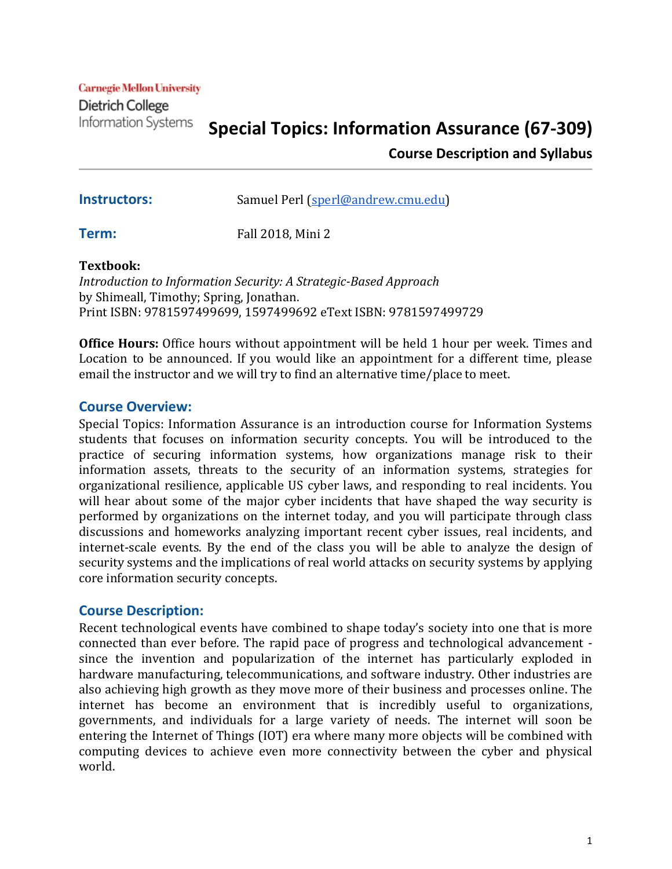**Carnegie Mellon University** Dietrich College **Information Systems** 

# **Special Topics: Information Assurance (67-309)**

**Course Description and Syllabus**

| <b>Instructors:</b> | Samuel Perl (sperl@andrew.cmu.edu) |
|---------------------|------------------------------------|
| Term:               | Fall 2018, Mini 2                  |

#### **Textbook:**

*Introduction to Information Security: A Strategic-Based Approach* by Shimeall, Timothy; Spring, Jonathan. Print ISBN: 9781597499699, 1597499692 eText ISBN: 9781597499729

**Office Hours:** Office hours without appointment will be held 1 hour per week. Times and Location to be announced. If you would like an appointment for a different time, please email the instructor and we will try to find an alternative time/place to meet.

#### **Course Overview:**

Special Topics: Information Assurance is an introduction course for Information Systems students that focuses on information security concepts. You will be introduced to the practice of securing information systems, how organizations manage risk to their information assets, threats to the security of an information systems, strategies for organizational resilience, applicable US cyber laws, and responding to real incidents. You will hear about some of the major cyber incidents that have shaped the way security is performed by organizations on the internet today, and you will participate through class discussions and homeworks analyzing important recent cyber issues, real incidents, and internet-scale events. By the end of the class you will be able to analyze the design of security systems and the implications of real world attacks on security systems by applying core information security concepts.

### **Course Description:**

Recent technological events have combined to shape today's society into one that is more connected than ever before. The rapid pace of progress and technological advancement since the invention and popularization of the internet has particularly exploded in hardware manufacturing, telecommunications, and software industry. Other industries are also achieving high growth as they move more of their business and processes online. The internet has become an environment that is incredibly useful to organizations, governments, and individuals for a large variety of needs. The internet will soon be entering the Internet of Things (IOT) era where many more objects will be combined with computing devices to achieve even more connectivity between the cyber and physical world.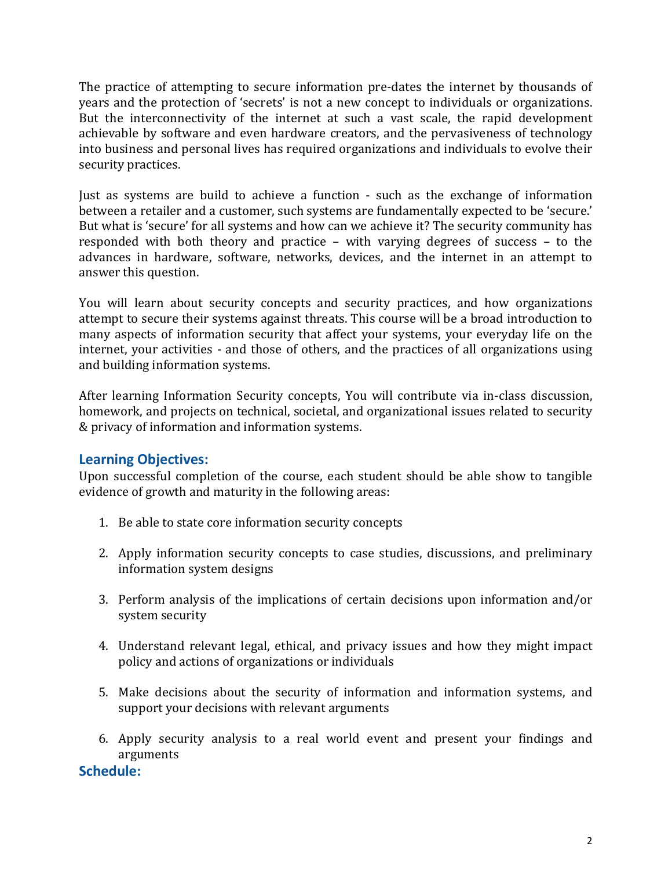The practice of attempting to secure information pre-dates the internet by thousands of years and the protection of 'secrets' is not a new concept to individuals or organizations. But the interconnectivity of the internet at such a vast scale, the rapid development achievable by software and even hardware creators, and the pervasiveness of technology into business and personal lives has required organizations and individuals to evolve their security practices.

Just as systems are build to achieve a function - such as the exchange of information between a retailer and a customer, such systems are fundamentally expected to be 'secure.' But what is 'secure' for all systems and how can we achieve it? The security community has responded with both theory and practice – with varying degrees of success – to the advances in hardware, software, networks, devices, and the internet in an attempt to answer this question.

You will learn about security concepts and security practices, and how organizations attempt to secure their systems against threats. This course will be a broad introduction to many aspects of information security that affect your systems, your everyday life on the internet, your activities - and those of others, and the practices of all organizations using and building information systems.

After learning Information Security concepts, You will contribute via in-class discussion, homework, and projects on technical, societal, and organizational issues related to security & privacy of information and information systems.

## **Learning Objectives:**

Upon successful completion of the course, each student should be able show to tangible evidence of growth and maturity in the following areas:

- 1. Be able to state core information security concepts
- 2. Apply information security concepts to case studies, discussions, and preliminary information system designs
- 3. Perform analysis of the implications of certain decisions upon information and/or system security
- 4. Understand relevant legal, ethical, and privacy issues and how they might impact policy and actions of organizations or individuals
- 5. Make decisions about the security of information and information systems, and support your decisions with relevant arguments
- 6. Apply security analysis to a real world event and present your findings and arguments

**Schedule:**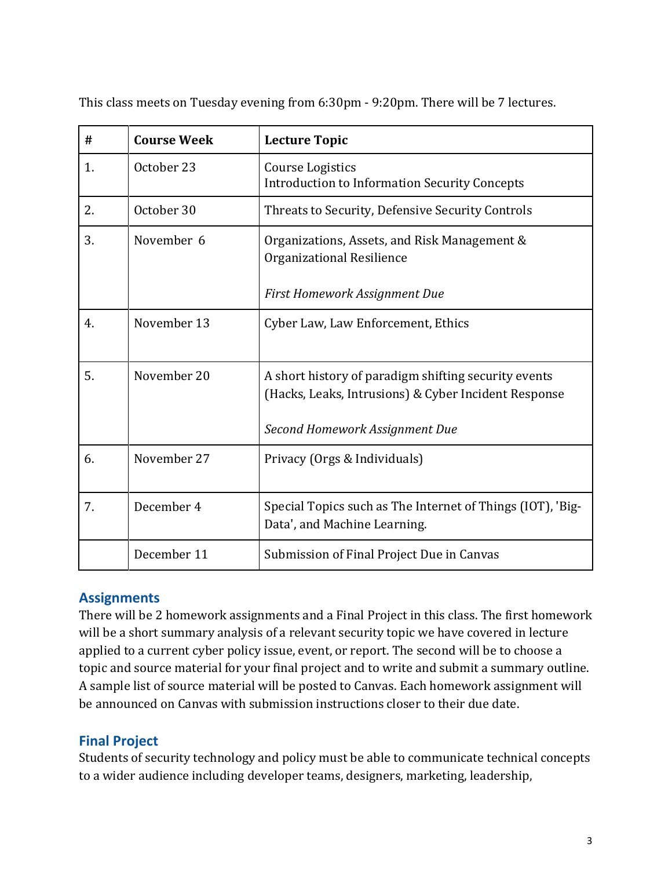| #  | <b>Course Week</b> | <b>Lecture Topic</b>                                                                                                                           |
|----|--------------------|------------------------------------------------------------------------------------------------------------------------------------------------|
| 1. | October 23         | Course Logistics<br><b>Introduction to Information Security Concepts</b>                                                                       |
| 2. | October 30         | Threats to Security, Defensive Security Controls                                                                                               |
| 3. | November 6         | Organizations, Assets, and Risk Management &<br>Organizational Resilience<br>First Homework Assignment Due                                     |
| 4. | November 13        | Cyber Law, Law Enforcement, Ethics                                                                                                             |
| 5. | November 20        | A short history of paradigm shifting security events<br>(Hacks, Leaks, Intrusions) & Cyber Incident Response<br>Second Homework Assignment Due |
| 6. | November 27        | Privacy (Orgs & Individuals)                                                                                                                   |
| 7. | December 4         | Special Topics such as The Internet of Things (IOT), 'Big-<br>Data', and Machine Learning.                                                     |
|    | December 11        | Submission of Final Project Due in Canvas                                                                                                      |

This class meets on Tuesday evening from 6:30pm - 9:20pm. There will be 7 lectures.

## **Assignments**

There will be 2 homework assignments and a Final Project in this class. The first homework will be a short summary analysis of a relevant security topic we have covered in lecture applied to a current cyber policy issue, event, or report. The second will be to choose a topic and source material for your final project and to write and submit a summary outline. A sample list of source material will be posted to Canvas. Each homework assignment will be announced on Canvas with submission instructions closer to their due date.

## **Final Project**

Students of security technology and policy must be able to communicate technical concepts to a wider audience including developer teams, designers, marketing, leadership,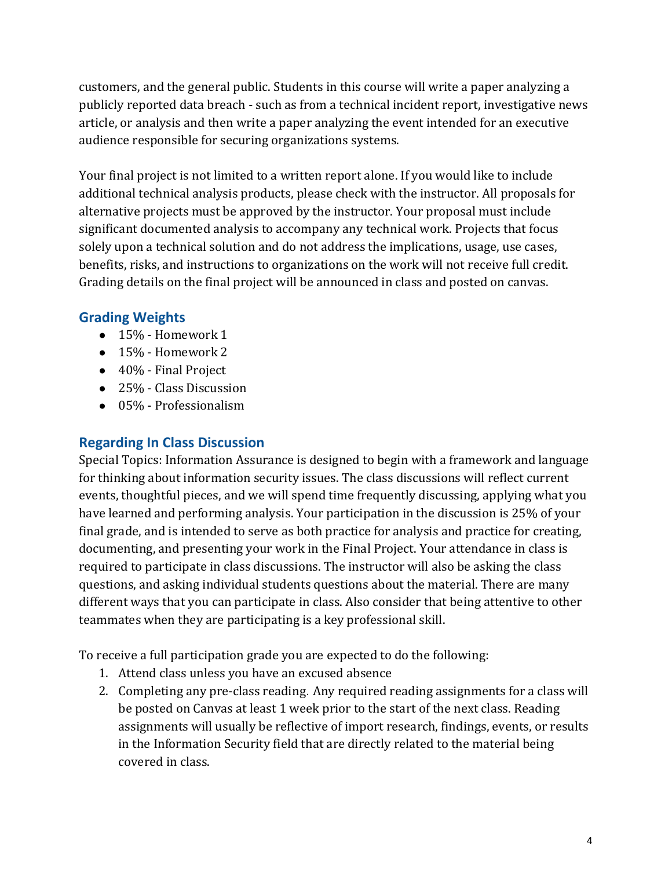customers, and the general public. Students in this course will write a paper analyzing a publicly reported data breach - such as from a technical incident report, investigative news article, or analysis and then write a paper analyzing the event intended for an executive audience responsible for securing organizations systems.

Your final project is not limited to a written report alone. If you would like to include additional technical analysis products, please check with the instructor. All proposals for alternative projects must be approved by the instructor. Your proposal must include significant documented analysis to accompany any technical work. Projects that focus solely upon a technical solution and do not address the implications, usage, use cases, benefits, risks, and instructions to organizations on the work will not receive full credit. Grading details on the final project will be announced in class and posted on canvas.

## **Grading Weights**

- 15% Homework 1
- 15% Homework 2
- 40% Final Project
- 25% Class Discussion
- 05% Professionalism

## **Regarding In Class Discussion**

Special Topics: Information Assurance is designed to begin with a framework and language for thinking about information security issues. The class discussions will reflect current events, thoughtful pieces, and we will spend time frequently discussing, applying what you have learned and performing analysis. Your participation in the discussion is 25% of your final grade, and is intended to serve as both practice for analysis and practice for creating, documenting, and presenting your work in the Final Project. Your attendance in class is required to participate in class discussions. The instructor will also be asking the class questions, and asking individual students questions about the material. There are many different ways that you can participate in class. Also consider that being attentive to other teammates when they are participating is a key professional skill.

To receive a full participation grade you are expected to do the following:

- 1. Attend class unless you have an excused absence
- 2. Completing any pre-class reading. Any required reading assignments for a class will be posted on Canvas at least 1 week prior to the start of the next class. Reading assignments will usually be reflective of import research, findings, events, or results in the Information Security field that are directly related to the material being covered in class.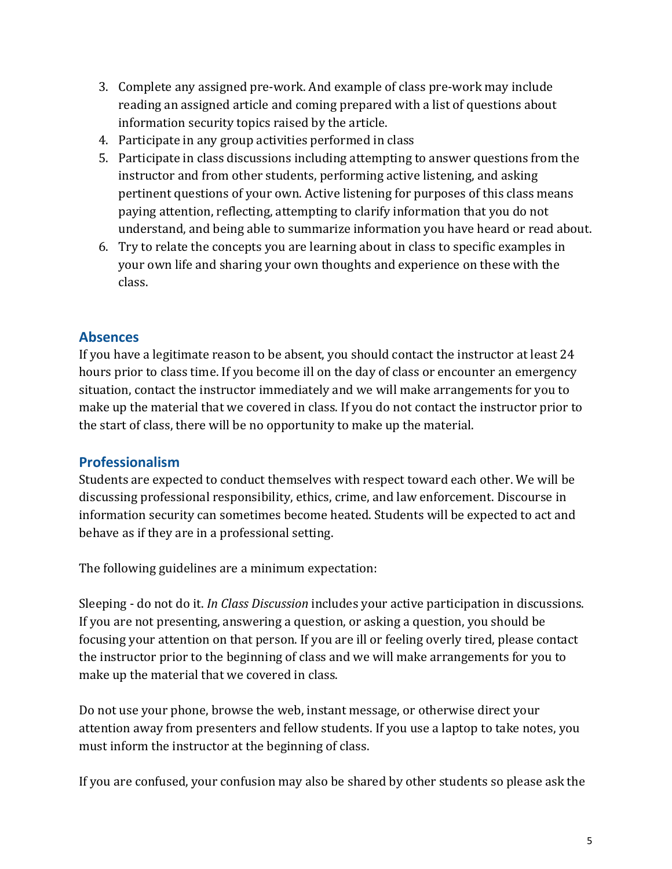- 3. Complete any assigned pre-work. And example of class pre-work may include reading an assigned article and coming prepared with a list of questions about information security topics raised by the article.
- 4. Participate in any group activities performed in class
- 5. Participate in class discussions including attempting to answer questions from the instructor and from other students, performing active listening, and asking pertinent questions of your own. Active listening for purposes of this class means paying attention, reflecting, attempting to clarify information that you do not understand, and being able to summarize information you have heard or read about.
- 6. Try to relate the concepts you are learning about in class to specific examples in your own life and sharing your own thoughts and experience on these with the class.

## **Absences**

If you have a legitimate reason to be absent, you should contact the instructor at least 24 hours prior to class time. If you become ill on the day of class or encounter an emergency situation, contact the instructor immediately and we will make arrangements for you to make up the material that we covered in class. If you do not contact the instructor prior to the start of class, there will be no opportunity to make up the material.

## **Professionalism**

Students are expected to conduct themselves with respect toward each other. We will be discussing professional responsibility, ethics, crime, and law enforcement. Discourse in information security can sometimes become heated. Students will be expected to act and behave as if they are in a professional setting.

The following guidelines are a minimum expectation:

Sleeping - do not do it. *In Class Discussion* includes your active participation in discussions. If you are not presenting, answering a question, or asking a question, you should be focusing your attention on that person. If you are ill or feeling overly tired, please contact the instructor prior to the beginning of class and we will make arrangements for you to make up the material that we covered in class.

Do not use your phone, browse the web, instant message, or otherwise direct your attention away from presenters and fellow students. If you use a laptop to take notes, you must inform the instructor at the beginning of class.

If you are confused, your confusion may also be shared by other students so please ask the